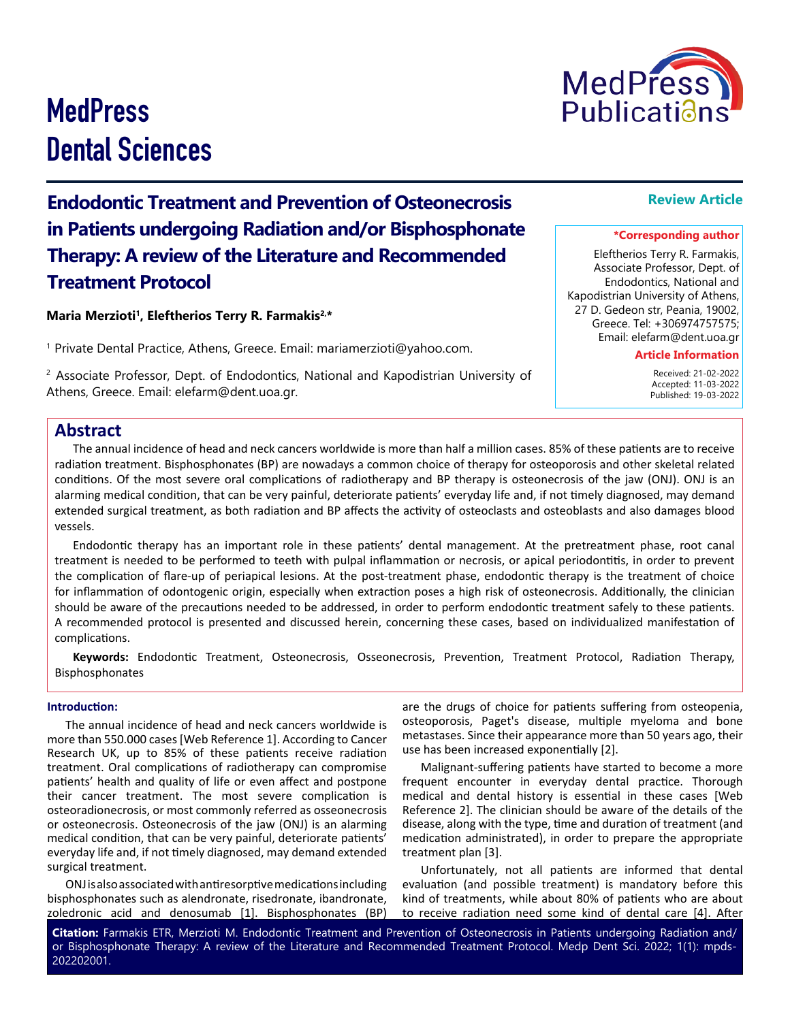#### **Citation:** Farmakis ETR, Merzioti M. Endodontic Treatment and Prevention of Osteonecrosis in Patients undergoing Radiation and/ or Bisphosphonate Therapy: A review of the Literature and Recommended Treatment Protocol. Medp Dent Sci. 2022; 1(1): mpds-202202001.

# **MedPress** Dental Sciences

**Endodontic Treatment and Prevention of Osteonecrosis in Patients undergoing Radiation and/or Bisphosphonate Therapy: A review of the Literature and Recommended Treatment Protocol**

**Maria Merzioti1, Eleftherios Terry R. Farmakis2,\***

1 Private Dental Practice, Athens, Greece. Email: mariamerzioti@yahoo.com.

2 Associate Professor, Dept. of Endodontics, National and Kapodistrian University of Athens, Greece. Email: elefarm@dent.uoa.gr.

# **Abstract**

The annual incidence of head and neck cancers worldwide is more than half a million cases. 85% of these patients are to receive radiation treatment. Bisphosphonates (BP) are nowadays a common choice of therapy for osteoporosis and other skeletal related conditions. Of the most severe oral complications of radiotherapy and BP therapy is osteonecrosis of the jaw (ONJ). ONJ is an alarming medical condition, that can be very painful, deteriorate patients' everyday life and, if not timely diagnosed, may demand extended surgical treatment, as both radiation and BP affects the activity of osteoclasts and osteoblasts and also damages blood vessels.

Endodontic therapy has an important role in these patients' dental management. At the pretreatment phase, root canal treatment is needed to be performed to teeth with pulpal inflammation or necrosis, or apical periodontitis, in order to prevent the complication of flare-up of periapical lesions. At the post-treatment phase, endodontic therapy is the treatment of choice for inflammation of odontogenic origin, especially when extraction poses a high risk of osteonecrosis. Additionally, the clinician should be aware of the precautions needed to be addressed, in order to perform endodontic treatment safely to these patients. A recommended protocol is presented and discussed herein, concerning these cases, based on individualized manifestation of complications.

**Keywords:** Endodontic Treatment, Osteonecrosis, Osseonecrosis, Prevention, Treatment Protocol, Radiation Therapy, Bisphosphonates

#### **Introduction:**

The annual incidence of head and neck cancers worldwide is more than 550.000 cases [Web Reference 1]. According to Cancer Research UK, up to 85% of these patients receive radiation treatment. Oral complications of radiotherapy can compromise patients' health and quality of life or even affect and postpone their cancer treatment. The most severe complication is osteoradionecrosis, or most commonly referred as osseonecrosis or osteonecrosis. Osteonecrosis of the jaw (ONJ) is an alarming medical condition, that can be very painful, deteriorate patients' everyday life and, if not timely diagnosed, may demand extended surgical treatment.

ONJ is also associated with antiresorptive medications including bisphosphonates such as alendronate, risedronate, ibandronate, zoledronic acid and denosumab [1]. Bisphosphonates (BP)

are the drugs of choice for patients suffering from osteopenia, osteoporosis, Paget's disease, multiple myeloma and bone metastases. Since their appearance more than 50 years ago, their use has been increased exponentially [2].

Malignant-suffering patients have started to become a more frequent encounter in everyday dental practice. Thorough medical and dental history is essential in these cases [Web Reference 2]. The clinician should be aware of the details of the disease, along with the type, time and duration of treatment (and medication administrated), in order to prepare the appropriate treatment plan [3].

Unfortunately, not all patients are informed that dental evaluation (and possible treatment) is mandatory before this kind of treatments, while about 80% of patients who are about to receive radiation need some kind of dental care [4]. After

# **Review Article**

# **\*Corresponding author**

Eleftherios Terry R. Farmakis, Associate Professor, Dept. of Endodontics, National and Kapodistrian University of Athens, 27 D. Gedeon str, Peania, 19002, Greece. Tel: +306974757575; Email: elefarm@dent.uoa.gr

# **Article Information**

 Received: 21-02-2022 Accepted: 11-03-2022 Published: 19-03-2022

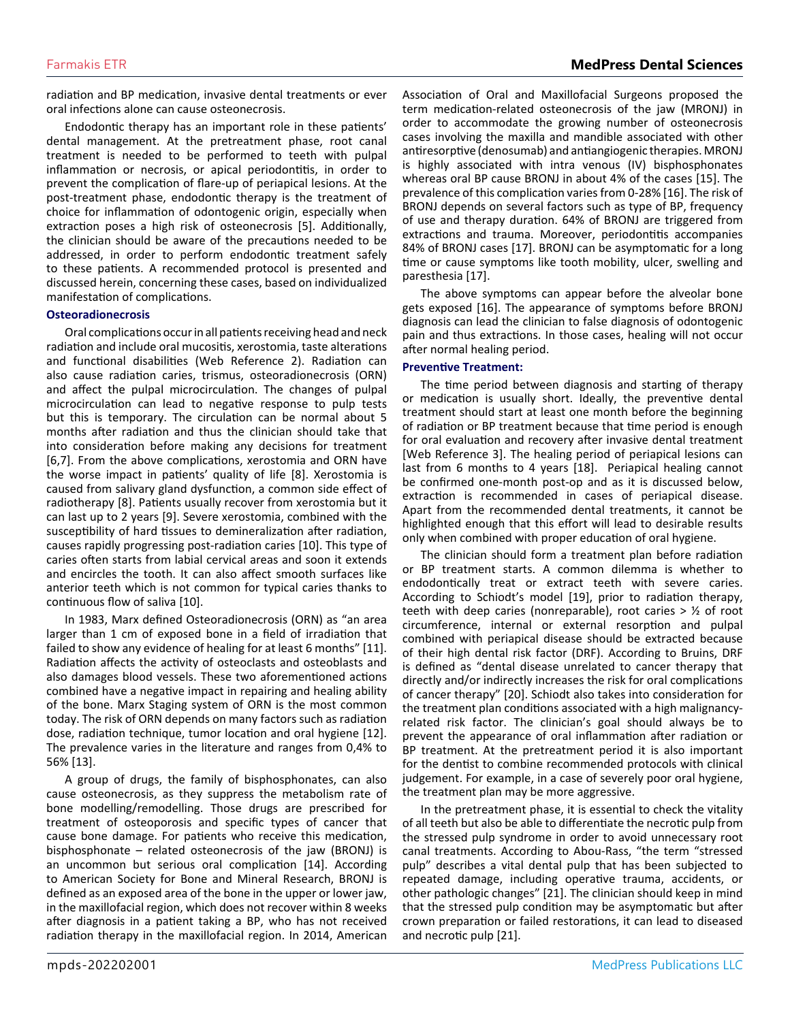radiation and BP medication, invasive dental treatments or ever oral infections alone can cause osteonecrosis.

Endodontic therapy has an important role in these patients' dental management. At the pretreatment phase, root canal treatment is needed to be performed to teeth with pulpal inflammation or necrosis, or apical periodontitis, in order to prevent the complication of flare-up of periapical lesions. At the post-treatment phase, endodontic therapy is the treatment of choice for inflammation of odontogenic origin, especially when extraction poses a high risk of osteonecrosis [5]. Additionally, the clinician should be aware of the precautions needed to be addressed, in order to perform endodontic treatment safely to these patients. A recommended protocol is presented and discussed herein, concerning these cases, based on individualized manifestation of complications.

#### **Osteoradionecrosis**

Oral complications occur in all patients receiving head and neck radiation and include oral mucositis, xerostomia, taste alterations and functional disabilities (Web Reference 2). Radiation can also cause radiation caries, trismus, osteoradionecrosis (ORN) and affect the pulpal microcirculation. The changes of pulpal microcirculation can lead to negative response to pulp tests but this is temporary. The circulation can be normal about 5 months after radiation and thus the clinician should take that into consideration before making any decisions for treatment [6,7]. From the above complications, xerostomia and ORN have the worse impact in patients' quality of life [8]. Xerostomia is caused from salivary gland dysfunction, a common side effect of radiotherapy [8]. Patients usually recover from xerostomia but it can last up to 2 years [9]. Severe xerostomia, combined with the susceptibility of hard tissues to demineralization after radiation, causes rapidly progressing post-radiation caries [10]. This type of caries often starts from labial cervical areas and soon it extends and encircles the tooth. It can also affect smooth surfaces like anterior teeth which is not common for typical caries thanks to continuous flow of saliva [10].

In 1983, Marx defined Osteoradionecrosis (ORN) as "an area larger than 1 cm of exposed bone in a field of irradiation that failed to show any evidence of healing for at least 6 months" [11]. Radiation affects the activity of osteoclasts and osteoblasts and also damages blood vessels. These two aforementioned actions combined have a negative impact in repairing and healing ability of the bone. Marx Staging system of ORN is the most common today. The risk of ORN depends on many factors such as radiation dose, radiation technique, tumor location and oral hygiene [12]. The prevalence varies in the literature and ranges from 0,4% to 56% [13].

A group of drugs, the family of bisphosphonates, can also cause osteonecrosis, as they suppress the metabolism rate of bone modelling/remodelling. Those drugs are prescribed for treatment of osteoporosis and specific types of cancer that cause bone damage. For patients who receive this medication, bisphosphonate – related osteonecrosis of the jaw (BRONJ) is an uncommon but serious oral complication [14]. According to American Society for Bone and Mineral Research, BRONJ is defined as an exposed area of the bone in the upper or lower jaw, in the maxillofacial region, which does not recover within 8 weeks after diagnosis in a patient taking a BP, who has not received radiation therapy in the maxillofacial region. In 2014, American

Association of Oral and Maxillofacial Surgeons proposed the term medication-related osteonecrosis of the jaw (MRONJ) in order to accommodate the growing number of osteonecrosis cases involving the maxilla and mandible associated with other antiresorptive (denosumab) and antiangiogenic therapies. MRONJ is highly associated with intra venous (IV) bisphosphonates whereas oral BP cause BRONJ in about 4% of the cases [15]. The prevalence of this complication varies from 0-28% [16]. The risk of BRONJ depends on several factors such as type of BP, frequency of use and therapy duration. 64% of BRONJ are triggered from extractions and trauma. Moreover, periodontitis accompanies 84% of BRONJ cases [17]. BRONJ can be asymptomatic for a long time or cause symptoms like tooth mobility, ulcer, swelling and paresthesia [17].

The above symptoms can appear before the alveolar bone gets exposed [16]. The appearance of symptoms before BRONJ diagnosis can lead the clinician to false diagnosis of odontogenic pain and thus extractions. In those cases, healing will not occur after normal healing period.

#### **Preventive Treatment:**

The time period between diagnosis and starting of therapy or medication is usually short. Ideally, the preventive dental treatment should start at least one month before the beginning of radiation or BP treatment because that time period is enough for oral evaluation and recovery after invasive dental treatment [Web Reference 3]. The healing period of periapical lesions can last from 6 months to 4 years [18]. Periapical healing cannot be confirmed one-month post-op and as it is discussed below, extraction is recommended in cases of periapical disease. Apart from the recommended dental treatments, it cannot be highlighted enough that this effort will lead to desirable results only when combined with proper education of oral hygiene.

The clinician should form a treatment plan before radiation or BP treatment starts. A common dilemma is whether to endodontically treat or extract teeth with severe caries. According to Schiodt's model [19], prior to radiation therapy, teeth with deep caries (nonreparable), root caries > ½ of root circumference, internal or external resorption and pulpal combined with periapical disease should be extracted because of their high dental risk factor (DRF). According to Bruins, DRF is defined as "dental disease unrelated to cancer therapy that directly and/or indirectly increases the risk for oral complications of cancer therapy" [20]. Schiodt also takes into consideration for the treatment plan conditions associated with a high malignancyrelated risk factor. The clinician's goal should always be to prevent the appearance of oral inflammation after radiation or BP treatment. At the pretreatment period it is also important for the dentist to combine recommended protocols with clinical judgement. For example, in a case of severely poor oral hygiene, the treatment plan may be more aggressive.

In the pretreatment phase, it is essential to check the vitality of all teeth but also be able to differentiate the necrotic pulp from the stressed pulp syndrome in order to avoid unnecessary root canal treatments. According to Abou-Rass, "the term "stressed pulp" describes a vital dental pulp that has been subjected to repeated damage, including operative trauma, accidents, or other pathologic changes" [21]. The clinician should keep in mind that the stressed pulp condition may be asymptomatic but after crown preparation or failed restorations, it can lead to diseased and necrotic pulp [21].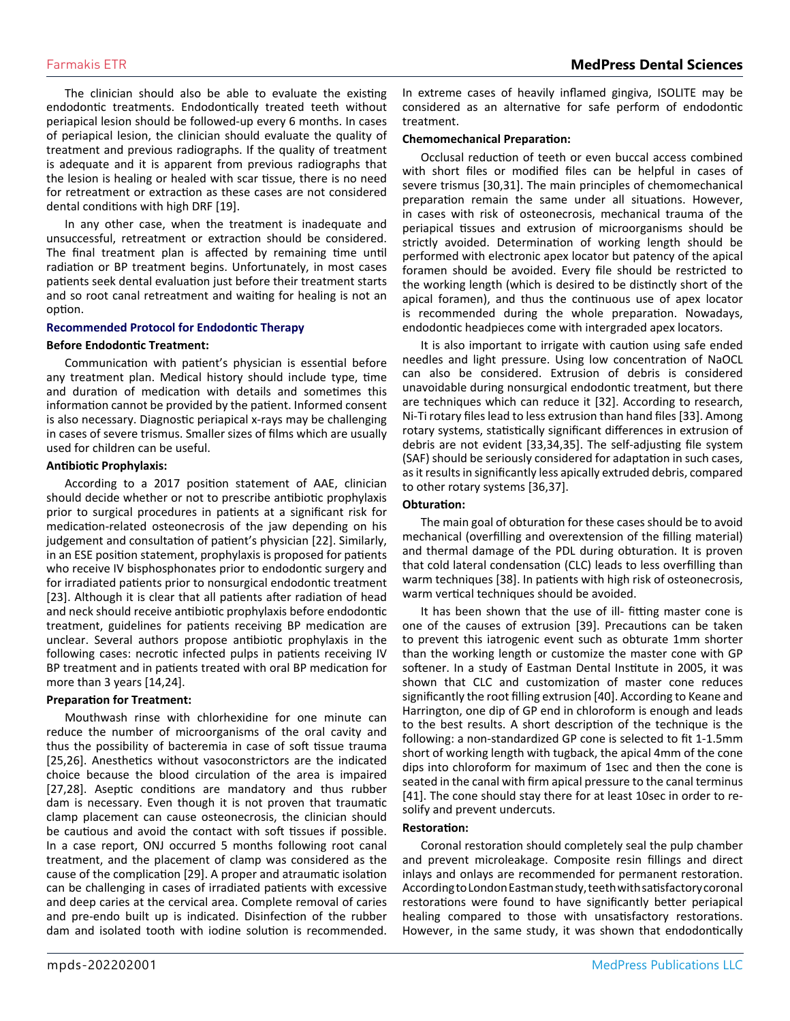The clinician should also be able to evaluate the existing endodontic treatments. Endodontically treated teeth without periapical lesion should be followed-up every 6 months. In cases of periapical lesion, the clinician should evaluate the quality of treatment and previous radiographs. If the quality of treatment is adequate and it is apparent from previous radiographs that the lesion is healing or healed with scar tissue, there is no need for retreatment or extraction as these cases are not considered dental conditions with high DRF [19].

In any other case, when the treatment is inadequate and unsuccessful, retreatment or extraction should be considered. The final treatment plan is affected by remaining time until radiation or BP treatment begins. Unfortunately, in most cases patients seek dental evaluation just before their treatment starts and so root canal retreatment and waiting for healing is not an option.

# **Recommended Protocol for Endodontic Therapy**

#### **Before Endodontic Treatment:**

Communication with patient's physician is essential before any treatment plan. Medical history should include type, time and duration of medication with details and sometimes this information cannot be provided by the patient. Informed consent is also necessary. Diagnostic periapical x-rays may be challenging in cases of severe trismus. Smaller sizes of films which are usually used for children can be useful.

#### **Antibiotic Prophylaxis:**

According to a 2017 position statement of AAE, clinician should decide whether or not to prescribe antibiotic prophylaxis prior to surgical procedures in patients at a significant risk for medication-related osteonecrosis of the jaw depending on his judgement and consultation of patient's physician [22]. Similarly, in an ESE position statement, prophylaxis is proposed for patients who receive IV bisphosphonates prior to endodontic surgery and for irradiated patients prior to nonsurgical endodontic treatment [23]. Although it is clear that all patients after radiation of head and neck should receive antibiotic prophylaxis before endodontic treatment, guidelines for patients receiving BP medication are unclear. Several authors propose antibiotic prophylaxis in the following cases: necrotic infected pulps in patients receiving IV BP treatment and in patients treated with oral BP medication for more than 3 years [14,24].

#### **Preparation for Treatment:**

Mouthwash rinse with chlorhexidine for one minute can reduce the number of microorganisms of the oral cavity and thus the possibility of bacteremia in case of soft tissue trauma [25,26]. Anesthetics without vasoconstrictors are the indicated choice because the blood circulation of the area is impaired [27,28]. Aseptic conditions are mandatory and thus rubber dam is necessary. Even though it is not proven that traumatic clamp placement can cause osteonecrosis, the clinician should be cautious and avoid the contact with soft tissues if possible. In a case report, ONJ occurred 5 months following root canal treatment, and the placement of clamp was considered as the cause of the complication [29]. A proper and atraumatic isolation can be challenging in cases of irradiated patients with excessive and deep caries at the cervical area. Complete removal of caries and pre-endo built up is indicated. Disinfection of the rubber dam and isolated tooth with iodine solution is recommended.

In extreme cases of heavily inflamed gingiva, ISOLITE may be considered as an alternative for safe perform of endodontic treatment.

#### **Chemomechanical Preparation:**

Occlusal reduction of teeth or even buccal access combined with short files or modified files can be helpful in cases of severe trismus [30,31]. The main principles of chemomechanical preparation remain the same under all situations. However, in cases with risk of osteonecrosis, mechanical trauma of the periapical tissues and extrusion of microorganisms should be strictly avoided. Determination of working length should be performed with electronic apex locator but patency of the apical foramen should be avoided. Every file should be restricted to the working length (which is desired to be distinctly short of the apical foramen), and thus the continuous use of apex locator is recommended during the whole preparation. Nowadays, endodontic headpieces come with intergraded apex locators.

It is also important to irrigate with caution using safe ended needles and light pressure. Using low concentration of NaOCL can also be considered. Extrusion of debris is considered unavoidable during nonsurgical endodontic treatment, but there are techniques which can reduce it [32]. According to research, Ni-Ti rotary files lead to less extrusion than hand files [33]. Among rotary systems, statistically significant differences in extrusion of debris are not evident [33,34,35]. The self-adjusting file system (SAF) should be seriously considered for adaptation in such cases, as it results in significantly less apically extruded debris, compared to other rotary systems [36,37].

#### **Obturation:**

The main goal of obturation for these cases should be to avoid mechanical (overfilling and overextension of the filling material) and thermal damage of the PDL during obturation. It is proven that cold lateral condensation (CLC) leads to less overfilling than warm techniques [38]. In patients with high risk of osteonecrosis, warm vertical techniques should be avoided.

It has been shown that the use of ill- fitting master cone is one of the causes of extrusion [39]. Precautions can be taken to prevent this iatrogenic event such as obturate 1mm shorter than the working length or customize the master cone with GP softener. In a study of Eastman Dental Institute in 2005, it was shown that CLC and customization of master cone reduces significantly the root filling extrusion [40]. According to Keane and Harrington, one dip of GP end in chloroform is enough and leads to the best results. A short description of the technique is the following: a non-standardized GP cone is selected to fit 1-1.5mm short of working length with tugback, the apical 4mm of the cone dips into chloroform for maximum of 1sec and then the cone is seated in the canal with firm apical pressure to the canal terminus [41]. The cone should stay there for at least 10sec in order to resolify and prevent undercuts.

#### **Restoration:**

Coronal restoration should completely seal the pulp chamber and prevent microleakage. Composite resin fillings and direct inlays and onlays are recommended for permanent restoration. According to London Eastman study, teeth with satisfactory coronal restorations were found to have significantly better periapical healing compared to those with unsatisfactory restorations. However, in the same study, it was shown that endodontically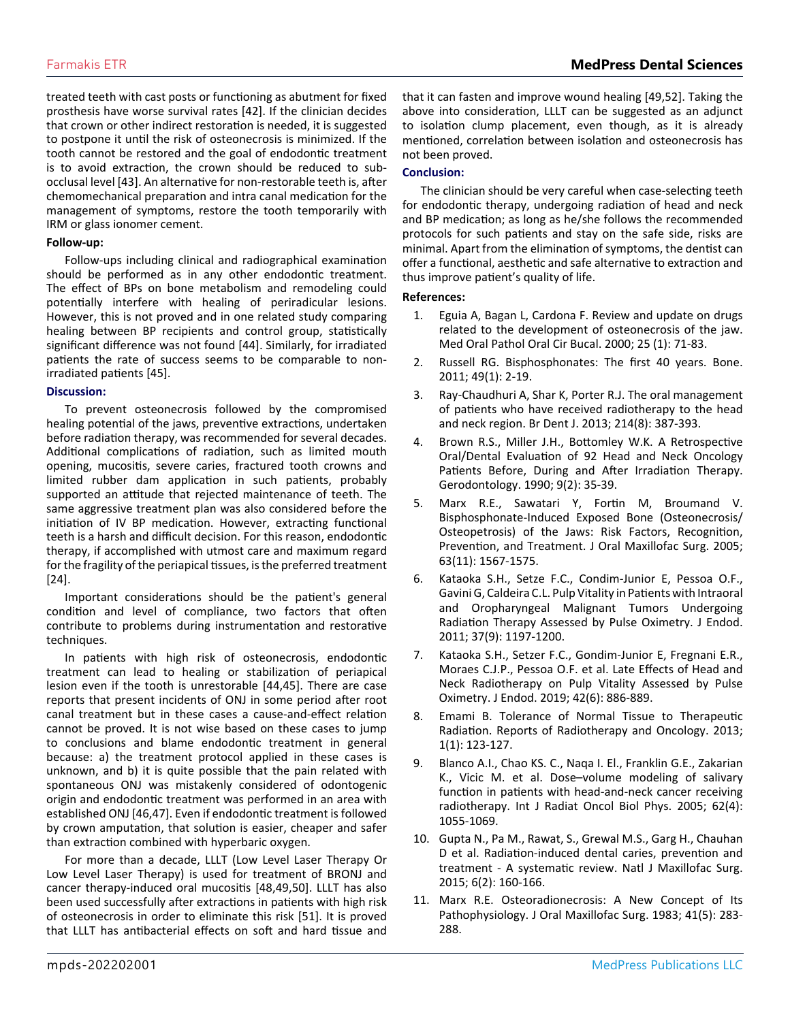treated teeth with cast posts or functioning as abutment for fixed prosthesis have worse survival rates [42]. If the clinician decides that crown or other indirect restoration is needed, it is suggested to postpone it until the risk of osteonecrosis is minimized. If the tooth cannot be restored and the goal of endodontic treatment is to avoid extraction, the crown should be reduced to subocclusal level [43]. An alternative for non-restorable teeth is, after chemomechanical preparation and intra canal medication for the management of symptoms, restore the tooth temporarily with IRM or glass ionomer cement.

# **Follow-up:**

Follow-ups including clinical and radiographical examination should be performed as in any other endodontic treatment. The effect of BPs on bone metabolism and remodeling could potentially interfere with healing of periradicular lesions. However, this is not proved and in one related study comparing healing between BP recipients and control group, statistically significant difference was not found [44]. Similarly, for irradiated patients the rate of success seems to be comparable to nonirradiated patients [45].

#### **Discussion:**

To prevent osteonecrosis followed by the compromised healing potential of the jaws, preventive extractions, undertaken before radiation therapy, was recommended for several decades. Additional complications of radiation, such as limited mouth opening, mucositis, severe caries, fractured tooth crowns and limited rubber dam application in such patients, probably supported an attitude that rejected maintenance of teeth. The same aggressive treatment plan was also considered before the initiation of IV BP medication. However, extracting functional teeth is a harsh and difficult decision. For this reason, endodontic therapy, if accomplished with utmost care and maximum regard for the fragility of the periapical tissues, is the preferred treatment [24].

Important considerations should be the patient's general condition and level of compliance, two factors that often contribute to problems during instrumentation and restorative techniques.

In patients with high risk of osteonecrosis, endodontic treatment can lead to healing or stabilization of periapical lesion even if the tooth is unrestorable [44,45]. There are case reports that present incidents of ONJ in some period after root canal treatment but in these cases a cause-and-effect relation cannot be proved. It is not wise based on these cases to jump to conclusions and blame endodontic treatment in general because: a) the treatment protocol applied in these cases is unknown, and b) it is quite possible that the pain related with spontaneous ONJ was mistakenly considered of odontogenic origin and endodontic treatment was performed in an area with established ONJ [46,47]. Even if endodontic treatment is followed by crown amputation, that solution is easier, cheaper and safer than extraction combined with hyperbaric oxygen.

For more than a decade, LLLT (Low Level Laser Therapy Or Low Level Laser Therapy) is used for treatment of BRONJ and cancer therapy-induced oral mucositis [48,49,50]. LLLT has also been used successfully after extractions in patients with high risk of osteonecrosis in order to eliminate this risk [51]. It is proved that LLLT has antibacterial effects on soft and hard tissue and

that it can fasten and improve wound healing [49,52]. Taking the above into consideration, LLLT can be suggested as an adjunct to isolation clump placement, even though, as it is already mentioned, correlation between isolation and osteonecrosis has not been proved.

# **Conclusion:**

The clinician should be very careful when case-selecting teeth for endodontic therapy, undergoing radiation of head and neck and BP medication; as long as he/she follows the recommended protocols for such patients and stay on the safe side, risks are minimal. Apart from the elimination of symptoms, the dentist can offer a functional, aesthetic and safe alternative to extraction and thus improve patient's quality of life.

# **References:**

- 1. [Eguia A, Bagan L, Cardona F. Review and update on drugs](https://www.ncbi.nlm.nih.gov/labs/pmc/articles/PMC6982985/)  [related to the development of osteonecrosis of the jaw.](https://www.ncbi.nlm.nih.gov/labs/pmc/articles/PMC6982985/)  [Med Oral Pathol Oral Cir Bucal. 2000; 25 \(1\): 71-83.](https://www.ncbi.nlm.nih.gov/labs/pmc/articles/PMC6982985/)
- 2. [Russell RG. Bisphosphonates: The first 40 years. Bone.](https://pubmed.ncbi.nlm.nih.gov/21555003/)  [2011; 49\(1\): 2-19.](https://pubmed.ncbi.nlm.nih.gov/21555003/)
- 3. [Ray-Chaudhuri A, Shar K, Porter R.J. The oral management](https://pubmed.ncbi.nlm.nih.gov/23619856/) [of patients who have received radiotherapy to the head](https://pubmed.ncbi.nlm.nih.gov/23619856/)  [and neck region. Br Dent J. 2013; 214\(8\): 387-393.](https://pubmed.ncbi.nlm.nih.gov/23619856/)
- 4. [Brown R.S., Miller J.H., Bottomley W.K. A Retrospective](https://pubmed.ncbi.nlm.nih.gov/2151939/) [Oral/Dental Evaluation of 92 Head and Neck Oncology](https://pubmed.ncbi.nlm.nih.gov/2151939/)  [Patients Before, During and After Irradiation Therapy.](https://pubmed.ncbi.nlm.nih.gov/2151939/)  [Gerodontology. 1990; 9\(2\): 35-39](https://pubmed.ncbi.nlm.nih.gov/2151939/).
- 5. [Marx R.E., Sawatari Y, Fortin M, Broumand V.](https://pubmed.ncbi.nlm.nih.gov/16243172/)  [Bisphosphonate-Induced Exposed Bone \(Osteonecrosis/](https://pubmed.ncbi.nlm.nih.gov/16243172/) [Osteopetrosis\) of the Jaws: Risk Factors, Recognition,](https://pubmed.ncbi.nlm.nih.gov/16243172/)  [Prevention, and Treatment. J Oral Maxillofac Surg. 2005;](https://pubmed.ncbi.nlm.nih.gov/16243172/) [63\(11\): 1567-1575.](https://pubmed.ncbi.nlm.nih.gov/16243172/)
- 6. [Kataoka S.H., Setze F.C., Condim-Junior E, Pessoa O.F.,](https://pubmed.ncbi.nlm.nih.gov/21846533/)  [Gavini G, Caldeira C.L. Pulp Vitality in Patients with Intraoral](https://pubmed.ncbi.nlm.nih.gov/21846533/)  [and Oropharyngeal Malignant Tumors Undergoing](https://pubmed.ncbi.nlm.nih.gov/21846533/)  [Radiation Therapy Assessed by Pulse Oximetry. J Endod.](https://pubmed.ncbi.nlm.nih.gov/21846533/)  [2011; 37\(9\): 1197-1200.](https://pubmed.ncbi.nlm.nih.gov/21846533/)
- 7. [Kataoka S.H., Setzer F.C., Gondim-Junior E, Fregnani E.R.,](https://pubmed.ncbi.nlm.nih.gov/27071975/)  [Moraes C.J.P., Pessoa O.F. et al. Late Effects of Head and](https://pubmed.ncbi.nlm.nih.gov/27071975/)  [Neck Radiotherapy on Pulp Vitality Assessed by Pulse](https://pubmed.ncbi.nlm.nih.gov/27071975/)  [Oximetry. J Endod. 2019; 42\(6\): 886-889.](https://pubmed.ncbi.nlm.nih.gov/27071975/)
- 8. [Emami B. Tolerance of Normal Tissue to Therapeutic](https://applications.emro.who.int/imemrf/Rep_Radiother_Oncol/Rep_Radiother_Oncol_2013_1_1_35_48.pdf)  [Radiation. Reports of Radiotherapy and Oncology. 2013;](https://applications.emro.who.int/imemrf/Rep_Radiother_Oncol/Rep_Radiother_Oncol_2013_1_1_35_48.pdf) [1\(1\): 123-127.](https://applications.emro.who.int/imemrf/Rep_Radiother_Oncol/Rep_Radiother_Oncol_2013_1_1_35_48.pdf)
- 9. [Blanco A.I., Chaο KS. C., Naqa I. El., Franklin G.E., Zakarian](https://pubmed.ncbi.nlm.nih.gov/15990009/)  [K., Vicic M. et al. Dose–volume modeling of salivary](https://pubmed.ncbi.nlm.nih.gov/15990009/)  [function in patients with head-and-neck cancer receiving](https://pubmed.ncbi.nlm.nih.gov/15990009/)  [radiotherapy. Int J Radiat Oncol Biol Phys. 2005; 62\(4\):](https://pubmed.ncbi.nlm.nih.gov/15990009/)  [1055-1069.](https://pubmed.ncbi.nlm.nih.gov/15990009/)
- 10. [Gupta N., Pa M., Rawat, S., Grewal M.S., Garg H., Chauhan](https://pubmed.ncbi.nlm.nih.gov/27390489/)  [D et al. Radiation-induced dental caries, prevention and](https://pubmed.ncbi.nlm.nih.gov/27390489/)  [treatment - A systematic review. Natl J Maxillofac Surg.](https://pubmed.ncbi.nlm.nih.gov/27390489/)  [2015; 6\(2\): 160-166.](https://pubmed.ncbi.nlm.nih.gov/27390489/)
- 11. [Marx R.E. Osteoradionecrosis: A New Concept of Its](https://pubmed.ncbi.nlm.nih.gov/6572704/)  [Pathophysiology. J Oral Maxillofac Surg. 1983; 41\(5\): 283-](https://pubmed.ncbi.nlm.nih.gov/6572704/) [288.](https://pubmed.ncbi.nlm.nih.gov/6572704/)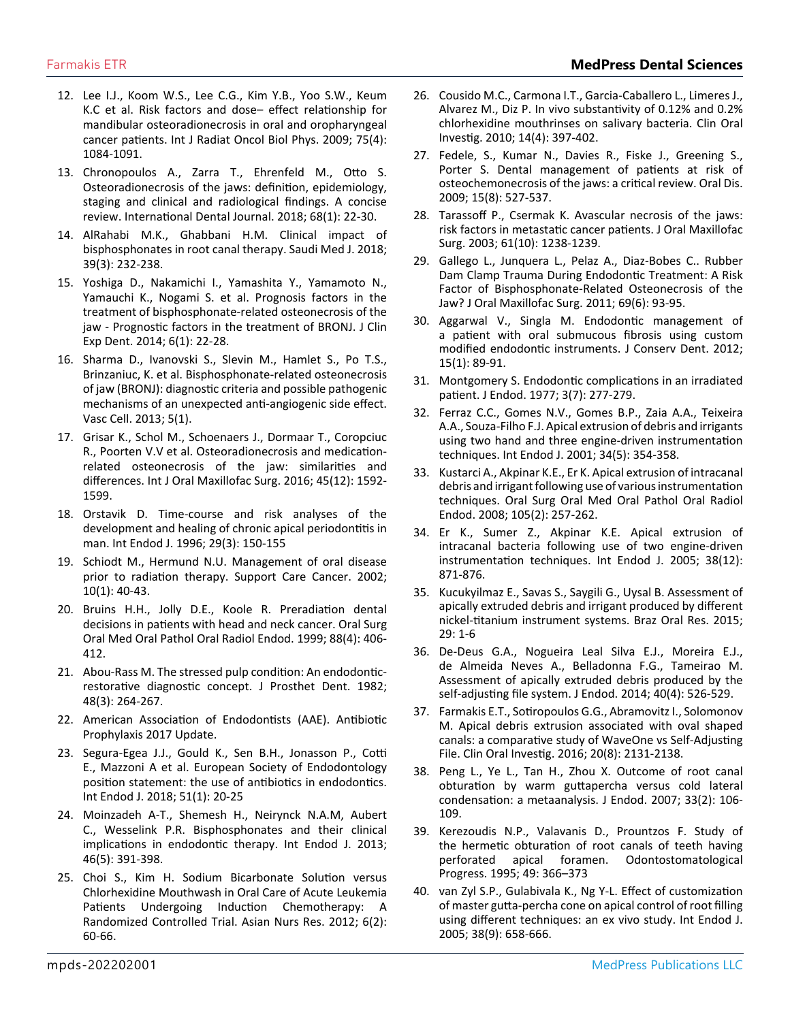- 12. [Lee I.J., Koom W.S., Lee C.G., Kim Y.B., Yoo S.W., Keum](https://pubmed.ncbi.nlm.nih.gov/19327914/) [K.C et al. Risk factors and dose– effect relationship for](https://pubmed.ncbi.nlm.nih.gov/19327914/) [mandibular osteoradionecrosis in oral and oropharyngeal](https://pubmed.ncbi.nlm.nih.gov/19327914/)  [cancer patients. Int J Radiat Oncol Biol Phys. 2009; 75\(4\):](https://pubmed.ncbi.nlm.nih.gov/19327914/)  [1084-1091.](https://pubmed.ncbi.nlm.nih.gov/19327914/)
- 13. [Chronopoulos A., Zarra T., Ehrenfeld M., Otto S.](https://pubmed.ncbi.nlm.nih.gov/28649774/)  [Osteoradionecrosis of the jaws: definition, epidemiology,](https://pubmed.ncbi.nlm.nih.gov/28649774/)  [staging and clinical and radiological findings. A concise](https://pubmed.ncbi.nlm.nih.gov/28649774/)  [review. International Dental Journal. 2018; 68\(1\): 22-30.](https://pubmed.ncbi.nlm.nih.gov/28649774/)
- 14. [AlRahabi M.K., Ghabbani H.M. Clinical impact of](https://www.ncbi.nlm.nih.gov/labs/pmc/articles/PMC5893910/)  [bisphosphonates in root canal therapy. Saudi Med J. 2018;](https://www.ncbi.nlm.nih.gov/labs/pmc/articles/PMC5893910/) [39\(3\): 232-238.](https://www.ncbi.nlm.nih.gov/labs/pmc/articles/PMC5893910/)
- 15. [Yoshiga D., Nakamichi I., Yamashita Y., Yamamoto N.,](https://pubmed.ncbi.nlm.nih.gov/24596631/) [Yamauchi K., Nogami S. et al. Prognosis factors in the](https://pubmed.ncbi.nlm.nih.gov/24596631/)  [treatment of bisphosphonate-related osteonecrosis of the](https://pubmed.ncbi.nlm.nih.gov/24596631/)  [jaw - Prognostic factors in the treatment of BRONJ. J Clin](https://pubmed.ncbi.nlm.nih.gov/24596631/)  [Exp Dent. 2014; 6\(1\): 22-28.](https://pubmed.ncbi.nlm.nih.gov/24596631/)
- 16. [Sharma D., Ivanovski S., Slevin M., Hamlet S., Po T.S.,](https://www.ncbi.nlm.nih.gov/labs/pmc/articles/PMC3606312/)  [Brinzaniuc, K. et al. Bisphosphonate-related osteonecrosis](https://www.ncbi.nlm.nih.gov/labs/pmc/articles/PMC3606312/)  [of jaw \(BRONJ\): diagnostic criteria and possible pathogenic](https://www.ncbi.nlm.nih.gov/labs/pmc/articles/PMC3606312/)  [mechanisms of an unexpected anti-angiogenic side effect.](https://www.ncbi.nlm.nih.gov/labs/pmc/articles/PMC3606312/)  [Vasc Cell. 2013; 5\(1\).](https://www.ncbi.nlm.nih.gov/labs/pmc/articles/PMC3606312/)
- 17. [Grisar K., Schol M., Schoenaers J., Dormaar T., Coropciuc](https://pubmed.ncbi.nlm.nih.gov/27427547/)  [R., Poorten V.V et al. Osteoradionecrosis and medication](https://pubmed.ncbi.nlm.nih.gov/27427547/)[related osteonecrosis of the jaw: similarities and](https://pubmed.ncbi.nlm.nih.gov/27427547/)  [differences. Int J Oral Maxillofac Surg. 2016; 45\(12\): 1592-](https://pubmed.ncbi.nlm.nih.gov/27427547/) [1599.](https://pubmed.ncbi.nlm.nih.gov/27427547/)
- 18. [Orstavik D. Time-course and risk analyses of the](https://pubmed.ncbi.nlm.nih.gov/9206419/)  [development and healing of chronic apical periodontitis in](https://pubmed.ncbi.nlm.nih.gov/9206419/)  [man. Int Endod J. 1996; 29\(3\): 150-155](https://pubmed.ncbi.nlm.nih.gov/9206419/)
- 19. [Schiodt M., Hermund N.U. Management of oral disease](https://pubmed.ncbi.nlm.nih.gov/11777187/)  [prior to radiation therapy. Support Care Cancer. 2002;](https://pubmed.ncbi.nlm.nih.gov/11777187/) [10\(1\): 40-43.](https://pubmed.ncbi.nlm.nih.gov/11777187/)
- 20. [Bruins H.H., Jolly D.E., Koole R. Preradiation dental](https://pubmed.ncbi.nlm.nih.gov/10519746/)  [decisions in patients with head and neck cancer. Oral Surg](https://pubmed.ncbi.nlm.nih.gov/10519746/) [Oral Med Oral Pathol Oral Radiol Endod. 1999; 88\(4\): 406-](https://pubmed.ncbi.nlm.nih.gov/10519746/) [412.](https://pubmed.ncbi.nlm.nih.gov/10519746/)
- 21. [Abou-Rass M. The stressed pulp condition: An endodontic](https://pubmed.ncbi.nlm.nih.gov/6750089/)[restorative diagnostic concept. J Prosthet Dent. 1982;](https://pubmed.ncbi.nlm.nih.gov/6750089/) [48\(3\): 264-267.](https://pubmed.ncbi.nlm.nih.gov/6750089/)
- 22. American Association of Endodontists (AAE). Antibiotic Prophylaxis 2017 Update.
- 23. [Segura-Egea J.J., Gould K., Sen B.H., Jonasson P., Cotti](https://onlinelibrary.wiley.com/doi/full/10.1111/iej.12781)  [E., Mazzoni A et al. European Society of Endodontology](https://onlinelibrary.wiley.com/doi/full/10.1111/iej.12781)  [position statement: the use of antibiotics in endodontics.](https://onlinelibrary.wiley.com/doi/full/10.1111/iej.12781)  [Int Endod J. 2018; 51\(1\): 20-25](https://onlinelibrary.wiley.com/doi/full/10.1111/iej.12781)
- 24. [Moinzadeh A-T., Shemesh H., Neirynck N.A.M, Aubert](https://pubmed.ncbi.nlm.nih.gov/23137312/) [C., Wesselink P.R. Bisphosphonates and their clinical](https://pubmed.ncbi.nlm.nih.gov/23137312/)  [implications in endodontic therapy. Int Endod J. 2013;](https://pubmed.ncbi.nlm.nih.gov/23137312/) [46\(5\): 391-398.](https://pubmed.ncbi.nlm.nih.gov/23137312/)
- 25. [Choi S., Kim H. Sodium Bicarbonate Solution versus](https://pubmed.ncbi.nlm.nih.gov/25030829/)  [Chlorhexidine Mouthwash in Oral Care of Acute Leukemia](https://pubmed.ncbi.nlm.nih.gov/25030829/) [Patients Undergoing Induction Chemotherapy: A](https://pubmed.ncbi.nlm.nih.gov/25030829/) [Randomized Controlled Trial. Asian Nurs Res. 2012; 6\(2\):](https://pubmed.ncbi.nlm.nih.gov/25030829/)  [60-66.](https://pubmed.ncbi.nlm.nih.gov/25030829/)
- 26. [Cousido M.C., Carmona I.T., Garcia-Caballero L., Limeres J.,](https://pubmed.ncbi.nlm.nih.gov/19662444/)  [Alvarez M., Diz P. In vivo substantivity of 0.12% and 0.2%](https://pubmed.ncbi.nlm.nih.gov/19662444/)  chlorhex[idine mouthrinses on salivary bacteria. Clin Oral](https://pubmed.ncbi.nlm.nih.gov/19662444/)  [Investig. 2010; 14\(4\): 397-402.](https://pubmed.ncbi.nlm.nih.gov/19662444/)
- 27. [Fedele, S., Kumar N., Davies R., Fiske J., Greening S.,](https://pubmed.ncbi.nlm.nih.gov/19619192/)  [Porter S. Dental management of patients at risk of](https://pubmed.ncbi.nlm.nih.gov/19619192/)  [osteochemonecrosis of the jaws: a critical review. Oral Dis.](https://pubmed.ncbi.nlm.nih.gov/19619192/)  [2009; 15\(8\): 527-537.](https://pubmed.ncbi.nlm.nih.gov/19619192/)
- 28. [Tarassoff P., Csermak K. Avascular necrosis of the jaws:](https://pubmed.ncbi.nlm.nih.gov/14586868/) [risk factors in metastatic cancer patients. J Oral Maxillofac](https://pubmed.ncbi.nlm.nih.gov/14586868/)  [Surg. 2003; 61\(10\): 1238-1239.](https://pubmed.ncbi.nlm.nih.gov/14586868/)
- 29. [Gallego L., Junquera L., Pelaz A., Diaz-Bobes C.. Rubber](https://pubmed.ncbi.nlm.nih.gov/21211886/)  [Dam Clamp Trauma During Endodontic Treatment: A Risk](https://pubmed.ncbi.nlm.nih.gov/21211886/)  [Factor of Bisphosphonate-Related Osteonecrosis of the](https://pubmed.ncbi.nlm.nih.gov/21211886/)  [Jaw? J Oral Maxillofac Surg. 2011; 69\(6\): 93-95.](https://pubmed.ncbi.nlm.nih.gov/21211886/)
- 30. [Aggarwal V., Singla M. Endodontic management of](https://pubmed.ncbi.nlm.nih.gov/22368345/)  [a patient with oral submucous fibrosis using custom](https://pubmed.ncbi.nlm.nih.gov/22368345/)  [modified endodontic instruments. J Conserv Dent. 2012;](https://pubmed.ncbi.nlm.nih.gov/22368345/) [15\(1\): 89-91.](https://pubmed.ncbi.nlm.nih.gov/22368345/)
- 31. [Montgomery S. Endodontic complications in an irradiated](https://pubmed.ncbi.nlm.nih.gov/269222/)  [patient. J Endod. 1977; 3\(7\): 277-279.](https://pubmed.ncbi.nlm.nih.gov/269222/)
- 32. [Ferraz C.C., Gomes N.V., Gomes B.P., Zaia A.A., Teixeira](https://pubmed.ncbi.nlm.nih.gov/11482718/)  [A.A., Souza-Filho F.J. Apical extrusion of debris and irrigants](https://pubmed.ncbi.nlm.nih.gov/11482718/)  [using two hand and three engine-driven instrumentation](https://pubmed.ncbi.nlm.nih.gov/11482718/)  [techniques. Int Endod J. 2001; 34\(5\): 354-358.](https://pubmed.ncbi.nlm.nih.gov/11482718/)
- 33. [Kustarci A., Akpinar K.E., Er K. Apical extrusion of intracanal](https://pubmed.ncbi.nlm.nih.gov/18230395/)  [debris and irrigant following use of various instrumentation](https://pubmed.ncbi.nlm.nih.gov/18230395/)  [techniques. Oral Surg Oral Med Oral Pathol Oral Radiol](https://pubmed.ncbi.nlm.nih.gov/18230395/)  [Endod. 2008; 105\(2\): 257-262.](https://pubmed.ncbi.nlm.nih.gov/18230395/)
- 34. [Er K., Sumer Z., Akpinar K.E. Apical extrusion of](https://pubmed.ncbi.nlm.nih.gov/16343113/)  [intracanal bacteria following use of two engine-driven](https://pubmed.ncbi.nlm.nih.gov/16343113/)  [instrumentation techniques. Int Endod J. 2005; 38\(12\):](https://pubmed.ncbi.nlm.nih.gov/16343113/) [871-876.](https://pubmed.ncbi.nlm.nih.gov/16343113/)
- 35. [Kucukyilmaz E., Savas S., Saygili G., Uysal B. Assessment of](https://pubmed.ncbi.nlm.nih.gov/25387860/)  [apically extruded debris and irrigant produced by different](https://pubmed.ncbi.nlm.nih.gov/25387860/)  [nickel-titanium instrument systems. Braz Oral Res. 2015;](https://pubmed.ncbi.nlm.nih.gov/25387860/) [29: 1-6](https://pubmed.ncbi.nlm.nih.gov/25387860/)
- 36. [De-Deus G.A., Nogueira Leal Silva E.J., Moreira E.J.,](https://pubmed.ncbi.nlm.nih.gov/24666904/)  [de Almeida Neves A., Belladonna F.G., Tameirao M.](https://pubmed.ncbi.nlm.nih.gov/24666904/)  [Assessment of apically extruded debris produced by the](https://pubmed.ncbi.nlm.nih.gov/24666904/) [self-adjusting file system. J Endod. 2014; 40\(4\): 526-529.](https://pubmed.ncbi.nlm.nih.gov/24666904/)
- 37. [Farmakis E.T., Sotiropoulos G.G., Abramovitz I., Solomonov](https://pubmed.ncbi.nlm.nih.gov/26759337/)  [M. Apical debris extrusion associated with oval shaped](https://pubmed.ncbi.nlm.nih.gov/26759337/)  [canals: a comparative study of WaveOne vs Self-Adjusting](https://pubmed.ncbi.nlm.nih.gov/26759337/)  [File. Clin Oral Investig. 2016; 20\(8\): 2131-2138.](https://pubmed.ncbi.nlm.nih.gov/26759337/)
- 38. [Peng L., Ye L., Tan H., Zhou X. Outcome of root canal](https://pubmed.ncbi.nlm.nih.gov/17258624/)  [obturation by warm guttapercha versus cold lateral](https://pubmed.ncbi.nlm.nih.gov/17258624/)  [condensation: a metaanalysis. J Endod. 2007; 33\(2\): 106-](https://pubmed.ncbi.nlm.nih.gov/17258624/) [109.](https://pubmed.ncbi.nlm.nih.gov/17258624/)
- 39. [Kerezoudis N.P., Valavanis D., Prountzos F. Study of](https://eurekamag.com/research/009/988/009988307.php)  [the hermetic obturation of root canals of teeth having](https://eurekamag.com/research/009/988/009988307.php)  [perforated apical foramen. Odontostomatological](https://eurekamag.com/research/009/988/009988307.php)  [Progress. 1995; 49: 366–373](https://eurekamag.com/research/009/988/009988307.php)
- 40. [van Zyl S.P., Gulabivala K., Ng Y-L. Effect of customization](https://pubmed.ncbi.nlm.nih.gov/16104980/)  [of master gutta-percha cone on apical control of root filling](https://pubmed.ncbi.nlm.nih.gov/16104980/)  [using different techniques: an ex vivo study. Int Endod J.](https://pubmed.ncbi.nlm.nih.gov/16104980/)  [2005; 38\(9\): 658-666.](https://pubmed.ncbi.nlm.nih.gov/16104980/)